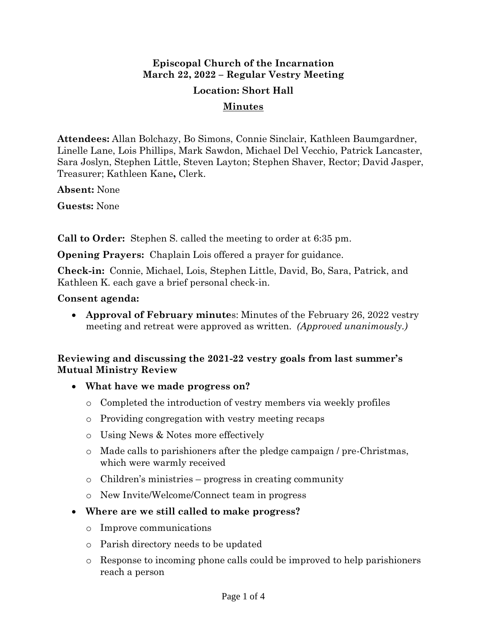# **Episcopal Church of the Incarnation March 22, 2022 – Regular Vestry Meeting**

### **Location: Short Hall**

#### **Minutes**

**Attendees:** Allan Bolchazy, Bo Simons, Connie Sinclair, Kathleen Baumgardner, Linelle Lane, Lois Phillips, Mark Sawdon, Michael Del Vecchio, Patrick Lancaster, Sara Joslyn, Stephen Little, Steven Layton; Stephen Shaver, Rector; David Jasper, Treasurer; Kathleen Kane**,** Clerk.

**Absent:** None

**Guests:** None

**Call to Order:** Stephen S. called the meeting to order at 6:35 pm.

**Opening Prayers:** Chaplain Lois offered a prayer for guidance.

**Check-in:** Connie, Michael, Lois, Stephen Little, David, Bo, Sara, Patrick, and Kathleen K. each gave a brief personal check-in.

#### **Consent agenda:**

• **Approval of February minute**s: Minutes of the February 26, 2022 vestry meeting and retreat were approved as written. *(Approved unanimously.)*

### **Reviewing and discussing the 2021-22 vestry goals from last summer's Mutual Ministry Review**

- **What have we made progress on?**
	- o Completed the introduction of vestry members via weekly profiles
	- o Providing congregation with vestry meeting recaps
	- o Using News & Notes more effectively
	- $\circ$  Made calls to parishioners after the pledge campaign / pre-Christmas, which were warmly received
	- o Children's ministries progress in creating community
	- o New Invite/Welcome/Connect team in progress
- **Where are we still called to make progress?**
	- o Improve communications
	- o Parish directory needs to be updated
	- o Response to incoming phone calls could be improved to help parishioners reach a person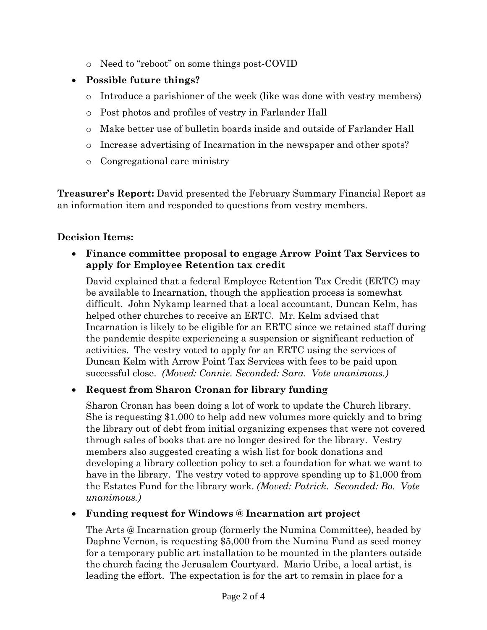- o Need to "reboot" on some things post-COVID
- **Possible future things?**
	- o Introduce a parishioner of the week (like was done with vestry members)
	- o Post photos and profiles of vestry in Farlander Hall
	- o Make better use of bulletin boards inside and outside of Farlander Hall
	- o Increase advertising of Incarnation in the newspaper and other spots?
	- o Congregational care ministry

**Treasurer's Report:** David presented the February Summary Financial Report as an information item and responded to questions from vestry members.

# **Decision Items:**

• **Finance committee proposal to engage Arrow Point Tax Services to apply for Employee Retention tax credit**

David explained that a federal Employee Retention Tax Credit (ERTC) may be available to Incarnation, though the application process is somewhat difficult. John Nykamp learned that a local accountant, Duncan Kelm, has helped other churches to receive an ERTC. Mr. Kelm advised that Incarnation is likely to be eligible for an ERTC since we retained staff during the pandemic despite experiencing a suspension or significant reduction of activities. The vestry voted to apply for an ERTC using the services of Duncan Kelm with Arrow Point Tax Services with fees to be paid upon successful close. *(Moved: Connie. Seconded: Sara. Vote unanimous.)*

# • **Request from Sharon Cronan for library funding**

Sharon Cronan has been doing a lot of work to update the Church library. She is requesting \$1,000 to help add new volumes more quickly and to bring the library out of debt from initial organizing expenses that were not covered through sales of books that are no longer desired for the library. Vestry members also suggested creating a wish list for book donations and developing a library collection policy to set a foundation for what we want to have in the library. The vestry voted to approve spending up to \$1,000 from the Estates Fund for the library work. *(Moved: Patrick. Seconded: Bo. Vote unanimous.)*

• **Funding request for Windows @ Incarnation art project**

The Arts @ Incarnation group (formerly the Numina Committee), headed by Daphne Vernon, is requesting \$5,000 from the Numina Fund as seed money for a temporary public art installation to be mounted in the planters outside the church facing the Jerusalem Courtyard. Mario Uribe, a local artist, is leading the effort. The expectation is for the art to remain in place for a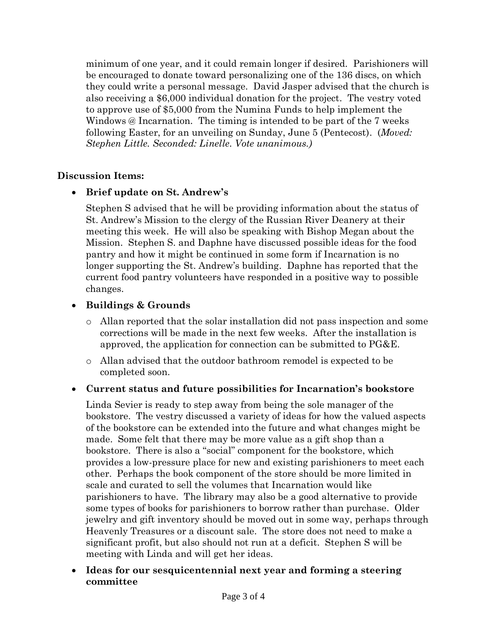minimum of one year, and it could remain longer if desired. Parishioners will be encouraged to donate toward personalizing one of the 136 discs, on which they could write a personal message. David Jasper advised that the church is also receiving a \$6,000 individual donation for the project. The vestry voted to approve use of \$5,000 from the Numina Funds to help implement the Windows @ Incarnation. The timing is intended to be part of the 7 weeks following Easter, for an unveiling on Sunday, June 5 (Pentecost). (*Moved: Stephen Little. Seconded: Linelle. Vote unanimous.)*

### **Discussion Items:**

## • **Brief update on St. Andrew's**

Stephen S advised that he will be providing information about the status of St. Andrew's Mission to the clergy of the Russian River Deanery at their meeting this week. He will also be speaking with Bishop Megan about the Mission. Stephen S. and Daphne have discussed possible ideas for the food pantry and how it might be continued in some form if Incarnation is no longer supporting the St. Andrew's building. Daphne has reported that the current food pantry volunteers have responded in a positive way to possible changes.

## • **Buildings & Grounds**

- o Allan reported that the solar installation did not pass inspection and some corrections will be made in the next few weeks. After the installation is approved, the application for connection can be submitted to PG&E.
- o Allan advised that the outdoor bathroom remodel is expected to be completed soon.

## • **Current status and future possibilities for Incarnation's bookstore**

Linda Sevier is ready to step away from being the sole manager of the bookstore. The vestry discussed a variety of ideas for how the valued aspects of the bookstore can be extended into the future and what changes might be made. Some felt that there may be more value as a gift shop than a bookstore. There is also a "social" component for the bookstore, which provides a low-pressure place for new and existing parishioners to meet each other. Perhaps the book component of the store should be more limited in scale and curated to sell the volumes that Incarnation would like parishioners to have. The library may also be a good alternative to provide some types of books for parishioners to borrow rather than purchase. Older jewelry and gift inventory should be moved out in some way, perhaps through Heavenly Treasures or a discount sale. The store does not need to make a significant profit, but also should not run at a deficit. Stephen S will be meeting with Linda and will get her ideas.

• **Ideas for our sesquicentennial next year and forming a steering committee**